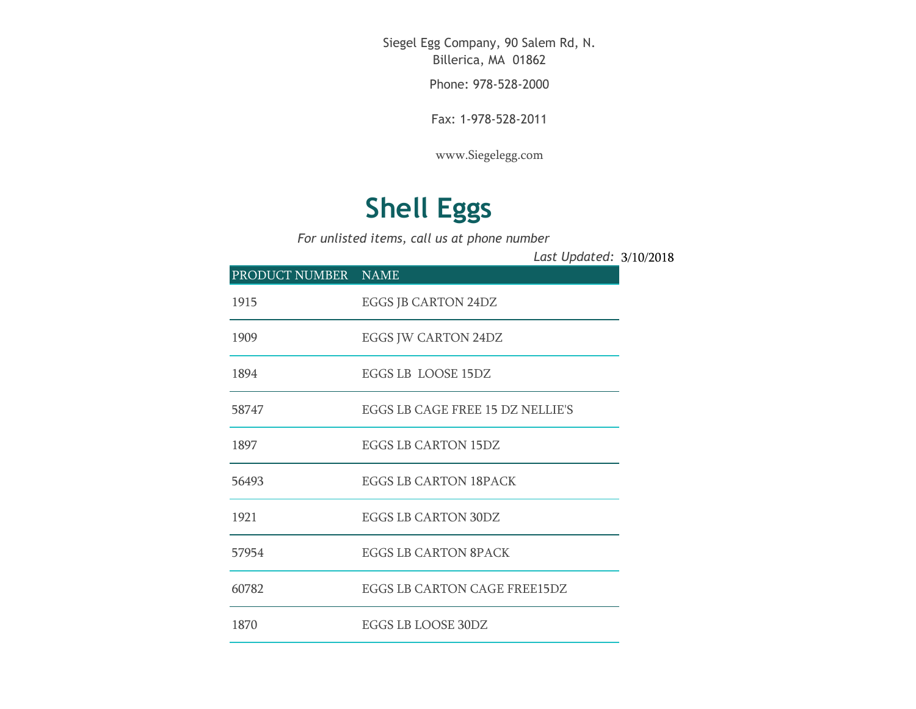Siegel Egg Company, 90 Salem Rd, N. Billerica, MA 01862

Phone: 978-528-2000

Fax: 1-978-528-2011

[www.Siegelegg.com](http://www.siegelegg.com/)

## **Shell Eggs**

*For unlisted items, call us at phone number*

3/10/2018 *Last Updated:*

| PRODUCT NUMBER NAME |                                         |
|---------------------|-----------------------------------------|
| 1915                | EGGS JB CARTON 24DZ                     |
| 1909                | EGGS JW CARTON 24DZ                     |
| 1894                | EGGS LB LOOSE 15DZ                      |
| 58747               | <b>EGGS LB CAGE FREE 15 DZ NELLIE'S</b> |
| 1897                | <b>EGGS LB CARTON 15DZ</b>              |
| 56493               | <b>EGGS LB CARTON 18PACK</b>            |
| 1921                | EGGS LB CARTON 30DZ                     |
| 57954               | <b>EGGS LB CARTON 8PACK</b>             |
| 60782               | EGGS LB CARTON CAGE FREE15DZ            |
| 1870                | EGGS LB LOOSE 30DZ                      |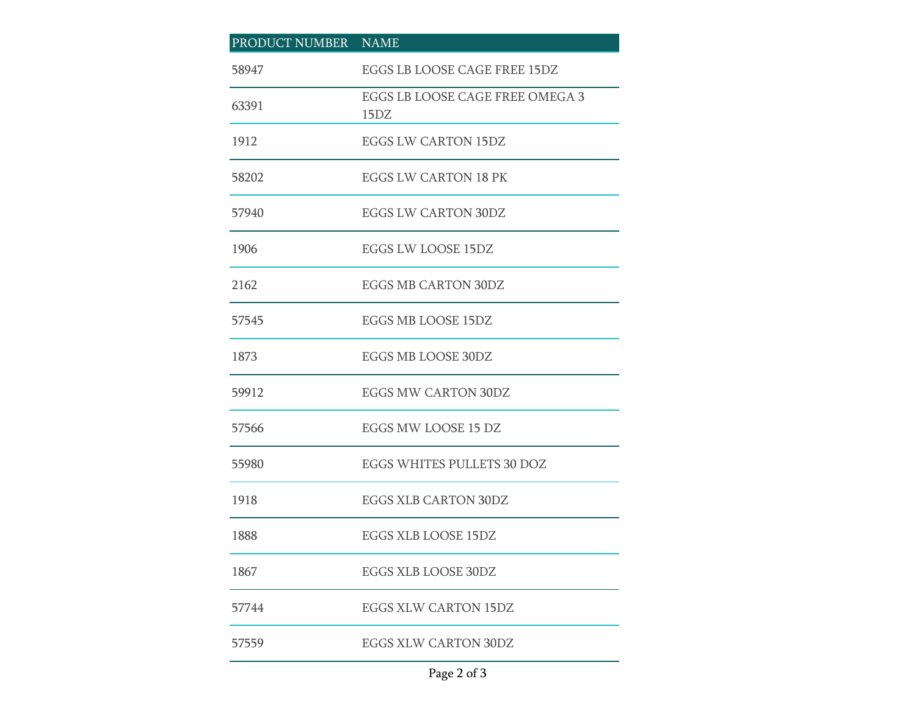| PRODUCT NUMBER NAME |                                         |
|---------------------|-----------------------------------------|
| 58947               | EGGS LB LOOSE CAGE FREE 15DZ            |
| 63391               | EGGS LB LOOSE CAGE FREE OMEGA 3<br>15DZ |
| 1912                | <b>EGGS LW CARTON 15DZ</b>              |
| 58202               | <b>EGGS LW CARTON 18 PK</b>             |
| 57940               | <b>EGGS LW CARTON 30DZ</b>              |
| 1906                | EGGS LW LOOSE 15DZ                      |
| 2162                | <b>EGGS MB CARTON 30DZ</b>              |
| 57545               | EGGS MB LOOSE 15DZ                      |
| 1873                | <b>EGGS MB LOOSE 30DZ</b>               |
| 59912               | <b>EGGS MW CARTON 30DZ</b>              |
| 57566               | EGGS MW LOOSE 15 DZ                     |
| 55980               | EGGS WHITES PULLETS 30 DOZ              |
| 1918                | <b>EGGS XLB CARTON 30DZ</b>             |
| 1888                | EGGS XLB LOOSE 15DZ                     |
| 1867                | EGGS XLB LOOSE 30DZ                     |
| 57744               | EGGS XLW CARTON 15DZ                    |
| 57559               | <b>EGGS XLW CARTON 30DZ</b>             |